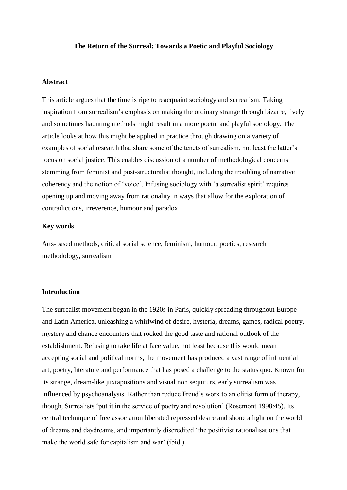#### **The Return of the Surreal: Towards a Poetic and Playful Sociology**

### **Abstract**

This article argues that the time is ripe to reacquaint sociology and surrealism. Taking inspiration from surrealism's emphasis on making the ordinary strange through bizarre, lively and sometimes haunting methods might result in a more poetic and playful sociology. The article looks at how this might be applied in practice through drawing on a variety of examples of social research that share some of the tenets of surrealism, not least the latter's focus on social justice. This enables discussion of a number of methodological concerns stemming from feminist and post-structuralist thought, including the troubling of narrative coherency and the notion of 'voice'. Infusing sociology with 'a surrealist spirit' requires opening up and moving away from rationality in ways that allow for the exploration of contradictions, irreverence, humour and paradox.

## **Key words**

Arts-based methods, critical social science, feminism, humour, poetics, research methodology, surrealism

### **Introduction**

The surrealist movement began in the 1920s in Paris, quickly spreading throughout Europe and Latin America, unleashing a whirlwind of desire, hysteria, dreams, games, radical poetry, mystery and chance encounters that rocked the good taste and rational outlook of the establishment. Refusing to take life at face value, not least because this would mean accepting social and political norms, the movement has produced a vast range of influential art, poetry, literature and performance that has posed a challenge to the status quo. Known for its strange, dream-like juxtapositions and visual non sequiturs, early surrealism was influenced by psychoanalysis. Rather than reduce Freud's work to an elitist form of therapy, though, Surrealists 'put it in the service of poetry and revolution' (Rosemont 1998:45). Its central technique of free association liberated repressed desire and shone a light on the world of dreams and daydreams, and importantly discredited 'the positivist rationalisations that make the world safe for capitalism and war' (ibid.).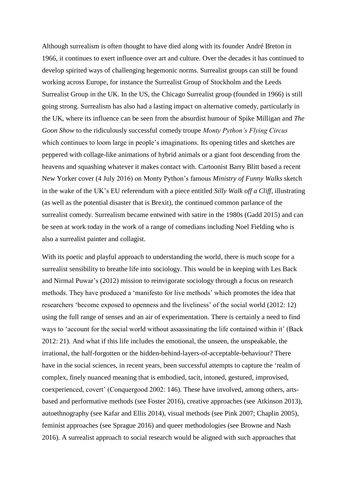Although surrealism is often thought to have died along with its founder André Breton in 1966, it continues to exert influence over art and culture. Over the decades it has continued to develop spirited ways of challenging hegemonic norms. Surrealist groups can still be found working across Europe, for instance the Surrealist Group of Stockholm and the Leeds Surrealist Group in the UK. In the US, the Chicago Surrealist group (founded in 1966) is still going strong. Surrealism has also had a lasting impact on alternative comedy, particularly in the UK, where its influence can be seen from the absurdist humour of Spike Milligan and *The Goon Show* to the ridiculously successful comedy troupe *Monty Python's Flying Circus* which continues to loom large in people's imaginations. Its opening titles and sketches are peppered with collage-like animations of hybrid animals or a giant foot descending from the heavens and squashing whatever it makes contact with. Cartoonist Barry Blitt based a recent New Yorker cover (4 July 2016) on Monty Python's famous *Ministry of Funny Walks* sketch in the wake of the UK's EU referendum with a piece entitled *Silly Walk off a Cliff*, illustrating (as well as the potential disaster that is Brexit), the continued common parlance of the surrealist comedy. Surrealism became entwined with satire in the 1980s (Gadd 2015) and can be seen at work today in the work of a range of comedians including Noel Fielding who is also a surrealist painter and collagist.

With its poetic and playful approach to understanding the world, there is much scope for a surrealist sensibility to breathe life into sociology. This would be in keeping with Les Back and Nirmal Puwar's (2012) mission to reinvigorate sociology through a focus on research methods. They have produced a 'manifesto for live methods' which promotes the idea that researchers 'become exposed to openness and the liveliness' of the social world (2012: 12) using the full range of senses and an air of experimentation. There is certainly a need to find ways to 'account for the social world without assassinating the life contained within it' (Back 2012: 21). And what if this life includes the emotional, the unseen, the unspeakable, the irrational, the half-forgotten or the hidden-behind-layers-of-acceptable-behaviour? There have in the social sciences, in recent years, been successful attempts to capture the 'realm of complex, finely nuanced meaning that is embodied, tacit, intoned, gestured, improvised, coexperienced, covert' (Conquergood 2002: 146). These have involved, among others, artsbased and performative methods (see Foster 2016), creative approaches (see Atkinson 2013), autoethnography (see Kafar and Ellis 2014), visual methods (see Pink 2007; Chaplin 2005), feminist approaches (see Sprague 2016) and queer methodologies (see Browne and Nash 2016). A surrealist approach to social research would be aligned with such approaches that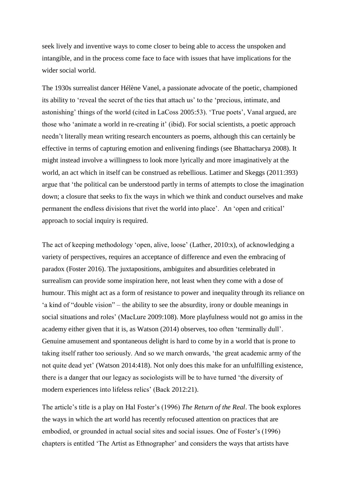seek lively and inventive ways to come closer to being able to access the unspoken and intangible, and in the process come face to face with issues that have implications for the wider social world.

The 1930s surrealist dancer Hélène Vanel, a passionate advocate of the poetic, championed its ability to 'reveal the secret of the ties that attach us' to the 'precious, intimate, and astonishing' things of the world (cited in LaCoss 2005:53). 'True poets', Vanal argued, are those who 'animate a world in re-creating it' (ibid). For social scientists, a poetic approach needn't literally mean writing research encounters as poems, although this can certainly be effective in terms of capturing emotion and enlivening findings (see Bhattacharya 2008). It might instead involve a willingness to look more lyrically and more imaginatively at the world, an act which in itself can be construed as rebellious. Latimer and Skeggs (2011:393) argue that 'the political can be understood partly in terms of attempts to close the imagination down; a closure that seeks to fix the ways in which we think and conduct ourselves and make permanent the endless divisions that rivet the world into place'. An 'open and critical' approach to social inquiry is required.

The act of keeping methodology 'open, alive, loose' (Lather, 2010:x), of acknowledging a variety of perspectives, requires an acceptance of difference and even the embracing of paradox (Foster 2016). The juxtapositions, ambiguites and absurdities celebrated in surrealism can provide some inspiration here, not least when they come with a dose of humour. This might act as a form of resistance to power and inequality through its reliance on 'a kind of "double vision" – the ability to see the absurdity, irony or double meanings in social situations and roles' (MacLure 2009:108). More playfulness would not go amiss in the academy either given that it is, as Watson (2014) observes, too often 'terminally dull'. Genuine amusement and spontaneous delight is hard to come by in a world that is prone to taking itself rather too seriously. And so we march onwards, 'the great academic army of the not quite dead yet' (Watson 2014:418). Not only does this make for an unfulfilling existence, there is a danger that our legacy as sociologists will be to have turned 'the diversity of modern experiences into lifeless relics' (Back 2012:21).

The article's title is a play on Hal Foster's (1996) *The Return of the Real*. The book explores the ways in which the art world has recently refocused attention on practices that are embodied, or grounded in actual social sites and social issues. One of Foster's (1996) chapters is entitled 'The Artist as Ethnographer' and considers the ways that artists have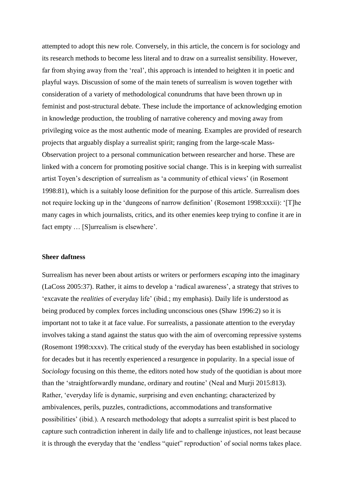attempted to adopt this new role. Conversely, in this article, the concern is for sociology and its research methods to become less literal and to draw on a surrealist sensibility. However, far from shying away from the 'real', this approach is intended to heighten it in poetic and playful ways. Discussion of some of the main tenets of surrealism is woven together with consideration of a variety of methodological conundrums that have been thrown up in feminist and post-structural debate. These include the importance of acknowledging emotion in knowledge production, the troubling of narrative coherency and moving away from privileging voice as the most authentic mode of meaning. Examples are provided of research projects that arguably display a surrealist spirit; ranging from the large-scale Mass-Observation project to a personal communication between researcher and horse. These are linked with a concern for promoting positive social change. This is in keeping with surrealist artist Toyen's description of surrealism as 'a community of ethical views' (in Rosemont 1998:81), which is a suitably loose definition for the purpose of this article. Surrealism does not require locking up in the 'dungeons of narrow definition' (Rosemont 1998:xxxii): '[T]he many cages in which journalists, critics, and its other enemies keep trying to confine it are in fact empty … [S]urrealism is elsewhere'.

#### **Sheer daftness**

Surrealism has never been about artists or writers or performers *escaping* into the imaginary (LaCoss 2005:37). Rather, it aims to develop a 'radical awareness', a strategy that strives to 'excavate the *realities* of everyday life' (ibid.; my emphasis). Daily life is understood as being produced by complex forces including unconscious ones (Shaw 1996:2) so it is important not to take it at face value. For surrealists, a passionate attention to the everyday involves taking a stand against the status quo with the aim of overcoming repressive systems (Rosemont 1998:xxxv). The critical study of the everyday has been established in sociology for decades but it has recently experienced a resurgence in popularity. In a special issue of *Sociology* focusing on this theme, the editors noted how study of the quotidian is about more than the 'straightforwardly mundane, ordinary and routine' (Neal and Murji 2015:813). Rather, 'everyday life is dynamic, surprising and even enchanting; characterized by ambivalences, perils, puzzles, contradictions, accommodations and transformative possibilities' (ibid.). A research methodology that adopts a surrealist spirit is best placed to capture such contradiction inherent in daily life and to challenge injustices, not least because it is through the everyday that the 'endless "quiet" reproduction' of social norms takes place.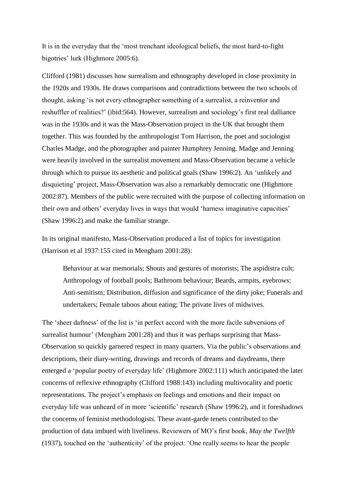It is in the everyday that the 'most trenchant ideological beliefs, the most hard-to-fight bigotries' lurk (Highmore 2005:6).

Clifford (1981) discusses how surrealism and ethnography developed in close proximity in the 1920s and 1930s. He draws comparisons and contradictions between the two schools of thought, asking 'is not every ethnographer something of a surrealist, a reinventor and reshuffler of realities?' (ibid:564). However, surrealism and sociology's first real dalliance was in the 1930s and it was the Mass-Observation project in the UK that brought them together. This was founded by the anthropologist Tom Harrison, the poet and sociologist Charles Madge, and the photographer and painter Humphrey Jenning. Madge and Jenning were heavily involved in the surrealist movement and Mass-Observation became a vehicle through which to pursue its aesthetic and political goals (Shaw 1996:2). An 'unlikely and disquieting' project, Mass-Observation was also a remarkably democratic one (Highmore 2002:87). Members of the public were recruited with the purpose of collecting information on their own and others' everyday lives in ways that would 'harness imaginative capacities' (Shaw 1996:2) and make the familiar strange.

In its original manifesto, Mass-Observation produced a list of topics for investigation (Harrison et al 1937:155 cited in Mengham 2001:28):

Behaviour at war memorials; Shouts and gestures of motorists; The aspidistra cult; Anthropology of football pools; Bathroom behaviour; Beards, armpits, eyebrows; Anti-semitism; Distribution, diffusion and significance of the dirty joke; Funerals and undertakers; Female taboos about eating; The private lives of midwives.

The 'sheer daftness' of the list is 'in perfect accord with the more facile subversions of surrealist humour' (Mengham 2001:28) and thus it was perhaps surprising that Mass-Observation so quickly garnered respect in many quarters. Via the public's observations and descriptions, their diary-writing, drawings and records of dreams and daydreams, there emerged a 'popular poetry of everyday life' (Highmore 2002:111) which anticipated the later concerns of reflexive ethnography (Clifford 1988:143) including multivocality and poetic representations. The project's emphasis on feelings and emotions and their impact on everyday life was unheard of in more 'scientific' research (Shaw 1996:2), and it foreshadows the concerns of feminist methodologists. These avant-garde tenets contributed to the production of data imbued with liveliness. Reviewers of MO's first book, *May the Twelfth*  (1937), touched on the 'authenticity' of the project: 'One really seems to hear the people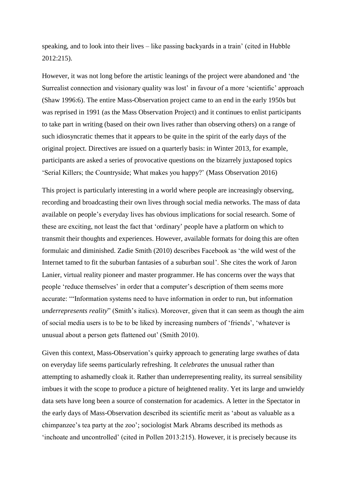speaking, and to look into their lives – like passing backyards in a train' (cited in Hubble 2012:215).

However, it was not long before the artistic leanings of the project were abandoned and 'the Surrealist connection and visionary quality was lost' in favour of a more 'scientific' approach (Shaw 1996:6). The entire Mass-Observation project came to an end in the early 1950s but was reprised in 1991 (as the Mass Observation Project) and it continues to enlist participants to take part in writing (based on their own lives rather than observing others) on a range of such idiosyncratic themes that it appears to be quite in the spirit of the early days of the original project. Directives are issued on a quarterly basis: in Winter 2013, for example, participants are asked a series of provocative questions on the bizarrely juxtaposed topics 'Serial Killers; the Countryside; What makes you happy?' (Mass Observation 2016)

This project is particularly interesting in a world where people are increasingly observing, recording and broadcasting their own lives through social media networks. The mass of data available on people's everyday lives has obvious implications for social research. Some of these are exciting, not least the fact that 'ordinary' people have a platform on which to transmit their thoughts and experiences. However, available formats for doing this are often formulaic and diminished. Zadie Smith (2010) describes Facebook as 'the wild west of the Internet tamed to fit the suburban fantasies of a suburban soul'. She cites the work of Jaron Lanier, virtual reality pioneer and master programmer. He has concerns over the ways that people 'reduce themselves' in order that a computer's description of them seems more accurate: '"Information systems need to have information in order to run, but information *underrepresents reality*" (Smith's italics). Moreover, given that it can seem as though the aim of social media users is to be to be liked by increasing numbers of 'friends', 'whatever is unusual about a person gets flattened out' (Smith 2010).

Given this context, Mass-Observation's quirky approach to generating large swathes of data on everyday life seems particularly refreshing. It *celebrates* the unusual rather than attempting to ashamedly cloak it. Rather than underrepresenting reality, its surreal sensibility imbues it with the scope to produce a picture of heightened reality. Yet its large and unwieldy data sets have long been a source of consternation for academics. A letter in the Spectator in the early days of Mass-Observation described its scientific merit as 'about as valuable as a chimpanzee's tea party at the zoo'; sociologist Mark Abrams described its methods as 'inchoate and uncontrolled' (cited in Pollen 2013:215). However, it is precisely because its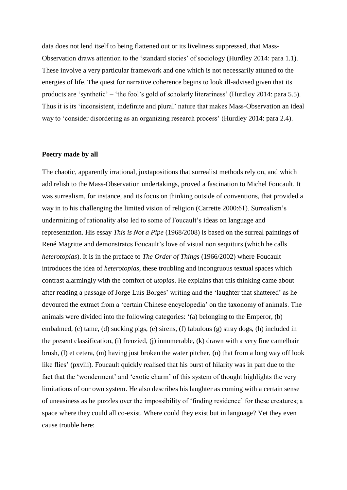data does not lend itself to being flattened out or its liveliness suppressed, that Mass-Observation draws attention to the 'standard stories' of sociology (Hurdley 2014: para 1.1). These involve a very particular framework and one which is not necessarily attuned to the energies of life. The quest for narrative coherence begins to look ill-advised given that its products are 'synthetic' – 'the fool's gold of scholarly literariness' (Hurdley 2014: para 5.5). Thus it is its 'inconsistent, indefinite and plural' nature that makes Mass-Observation an ideal way to 'consider disordering as an organizing research process' (Hurdley 2014: para 2.4).

### **Poetry made by all**

The chaotic, apparently irrational, juxtapositions that surrealist methods rely on, and which add relish to the Mass-Observation undertakings, proved a fascination to Michel Foucault. It was surrealism, for instance, and its focus on thinking outside of conventions, that provided a way in to his challenging the limited vision of religion (Carrette 2000:61). Surrealism's undermining of rationality also led to some of Foucault's ideas on language and representation. His essay *This is Not a Pipe* (1968/2008) is based on the surreal paintings of René Magritte and demonstrates Foucault's love of visual non sequiturs (which he calls *heterotopias*). It is in the preface to *The Order of Things* (1966/2002) where Foucault introduces the idea of *heterotopias*, these troubling and incongruous textual spaces which contrast alarmingly with the comfort of *utopias*. He explains that this thinking came about after reading a passage of Jorge Luis Borges' writing and the 'laughter that shattered' as he devoured the extract from a 'certain Chinese encyclopedia' on the taxonomy of animals. The animals were divided into the following categories: '(a) belonging to the Emperor, (b) embalmed, (c) tame, (d) sucking pigs, (e) sirens, (f) fabulous (g) stray dogs, (h) included in the present classification, (i) frenzied, (j) innumerable, (k) drawn with a very fine camelhair brush, (l) et cetera, (m) having just broken the water pitcher, (n) that from a long way off look like flies' (pxviii). Foucault quickly realised that his burst of hilarity was in part due to the fact that the 'wonderment' and 'exotic charm' of this system of thought highlights the very limitations of our own system. He also describes his laughter as coming with a certain sense of uneasiness as he puzzles over the impossibility of 'finding residence' for these creatures; a space where they could all co-exist. Where could they exist but in language? Yet they even cause trouble here: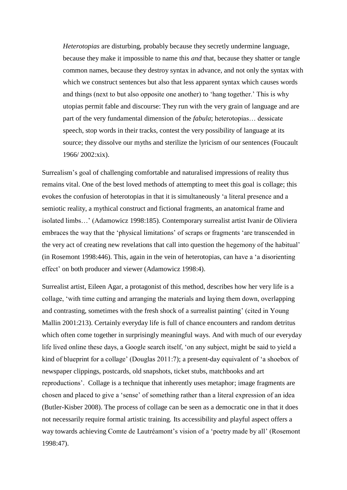*Heterotopias* are disturbing, probably because they secretly undermine language, because they make it impossible to name this *and* that, because they shatter or tangle common names, because they destroy syntax in advance, and not only the syntax with which we construct sentences but also that less apparent syntax which causes words and things (next to but also opposite one another) to 'hang together.' This is why utopias permit fable and discourse: They run with the very grain of language and are part of the very fundamental dimension of the *fabula*; heterotopias… dessicate speech, stop words in their tracks, contest the very possibility of language at its source; they dissolve our myths and sterilize the lyricism of our sentences (Foucault 1966/ 2002:xix).

Surrealism's goal of challenging comfortable and naturalised impressions of reality thus remains vital. One of the best loved methods of attempting to meet this goal is collage; this evokes the confusion of heterotopias in that it is simultaneously 'a literal presence and a semiotic reality, a mythical construct and fictional fragments, an anatomical frame and isolated limbs…' (Adamowicz 1998:185). Contemporary surrealist artist Ivanir de Oliviera embraces the way that the 'physical limitations' of scraps or fragments 'are transcended in the very act of creating new revelations that call into question the hegemony of the habitual' (in Rosemont 1998:446). This, again in the vein of heterotopias, can have a 'a disorienting effect' on both producer and viewer (Adamowicz 1998:4).

Surrealist artist, Eileen Agar, a protagonist of this method, describes how her very life is a collage, 'with time cutting and arranging the materials and laying them down, overlapping and contrasting, sometimes with the fresh shock of a surrealist painting' (cited in Young Mallin 2001:213). Certainly everyday life is full of chance encounters and random detritus which often come together in surprisingly meaningful ways. And with much of our everyday life lived online these days, a Google search itself, 'on any subject, might be said to yield a kind of blueprint for a collage' (Douglas 2011:7); a present-day equivalent of 'a shoebox of newspaper clippings, postcards, old snapshots, ticket stubs, matchbooks and art reproductions'. Collage is a technique that inherently uses metaphor; image fragments are chosen and placed to give a 'sense' of something rather than a literal expression of an idea (Butler-Kisber 2008). The process of collage can be seen as a democratic one in that it does not necessarily require formal artistic training. Its accessibility and playful aspect offers a way towards achieving Comte de Lautréamont's vision of a 'poetry made by all' (Rosemont 1998:47).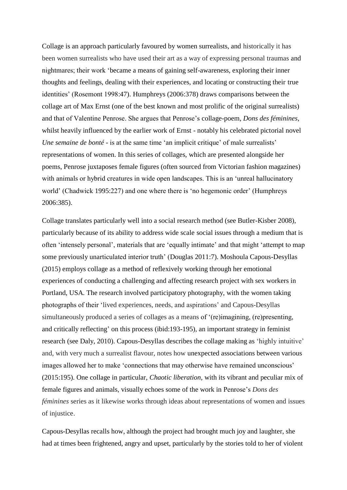Collage is an approach particularly favoured by women surrealists, and historically it has been women surrealists who have used their art as a way of expressing personal traumas and nightmares; their work 'became a means of gaining self-awareness, exploring their inner thoughts and feelings, dealing with their experiences, and locating or constructing their true identities' (Rosemont 1998:47). Humphreys (2006:378) draws comparisons between the collage art of Max Ernst (one of the best known and most prolific of the original surrealists) and that of Valentine Penrose. She argues that Penrose's collage-poem, *Dons des féminines*, whilst heavily influenced by the earlier work of Ernst - notably his celebrated pictorial novel *Une semaine de bonté* - is at the same time 'an implicit critique' of male surrealists' representations of women. In this series of collages, which are presented alongside her poems, Penrose juxtaposes female figures (often sourced from Victorian fashion magazines) with animals or hybrid creatures in wide open landscapes. This is an 'unreal hallucinatory world' (Chadwick 1995:227) and one where there is 'no hegemonic order' (Humphreys 2006:385).

Collage translates particularly well into a social research method (see Butler-Kisber 2008), particularly because of its ability to address wide scale social issues through a medium that is often 'intensely personal', materials that are 'equally intimate' and that might 'attempt to map some previously unarticulated interior truth' (Douglas 2011:7). Moshoula Capous-Desyllas (2015) employs collage as a method of reflexively working through her emotional experiences of conducting a challenging and affecting research project with sex workers in Portland, USA. The research involved participatory photography, with the women taking photographs of their 'lived experiences, needs, and aspirations' and Capous-Desyllas simultaneously produced a series of collages as a means of '(re)imagining, (re)presenting, and critically reflecting' on this process (ibid:193-195), an important strategy in feminist research (see Daly, 2010). Capous-Desyllas describes the collage making as 'highly intuitive' and, with very much a surrealist flavour, notes how unexpected associations between various images allowed her to make 'connections that may otherwise have remained unconscious' (2015:195). One collage in particular, *Chaotic liberation,* with its vibrant and peculiar mix of female figures and animals, visually echoes some of the work in Penrose's *Dons des féminines* series as it likewise works through ideas about representations of women and issues of injustice.

Capous-Desyllas recalls how, although the project had brought much joy and laughter, she had at times been frightened, angry and upset, particularly by the stories told to her of violent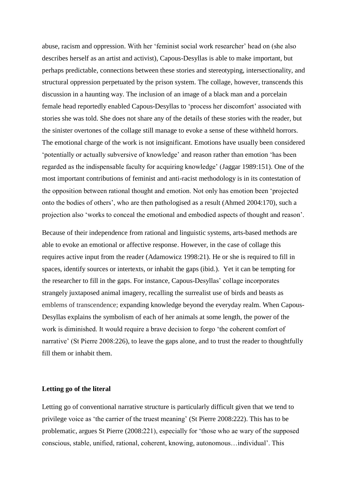abuse, racism and oppression. With her 'feminist social work researcher' head on (she also describes herself as an artist and activist), Capous-Desyllas is able to make important, but perhaps predictable, connections between these stories and stereotyping, intersectionality, and structural oppression perpetuated by the prison system. The collage, however, transcends this discussion in a haunting way. The inclusion of an image of a black man and a porcelain female head reportedly enabled Capous-Desyllas to 'process her discomfort' associated with stories she was told. She does not share any of the details of these stories with the reader, but the sinister overtones of the collage still manage to evoke a sense of these withheld horrors. The emotional charge of the work is not insignificant. Emotions have usually been considered 'potentially or actually subversive of knowledge' and reason rather than emotion 'has been regarded as the indispensable faculty for acquiring knowledge' (Jaggar 1989:151). One of the most important contributions of feminist and anti-racist methodology is in its contestation of the opposition between rational thought and emotion. Not only has emotion been 'projected onto the bodies of others', who are then pathologised as a result (Ahmed 2004:170), such a projection also 'works to conceal the emotional and embodied aspects of thought and reason'.

Because of their independence from rational and linguistic systems, arts-based methods are able to evoke an emotional or affective response. However, in the case of collage this requires active input from the reader (Adamowicz 1998:21). He or she is required to fill in spaces, identify sources or intertexts, or inhabit the gaps (ibid.). Yet it can be tempting for the researcher to fill in the gaps. For instance, Capous-Desyllas' collage incorporates strangely juxtaposed animal imagery, recalling the surrealist use of birds and beasts as emblems of transcendence; expanding knowledge beyond the everyday realm. When Capous-Desyllas explains the symbolism of each of her animals at some length, the power of the work is diminished. It would require a brave decision to forgo 'the coherent comfort of narrative' (St Pierre 2008:226), to leave the gaps alone, and to trust the reader to thoughtfully fill them or inhabit them.

## **Letting go of the literal**

Letting go of conventional narrative structure is particularly difficult given that we tend to privilege voice as 'the carrier of the truest meaning' (St Pierre 2008:222). This has to be problematic, argues St Pierre (2008:221), especially for 'those who ae wary of the supposed conscious, stable, unified, rational, coherent, knowing, autonomous…individual'. This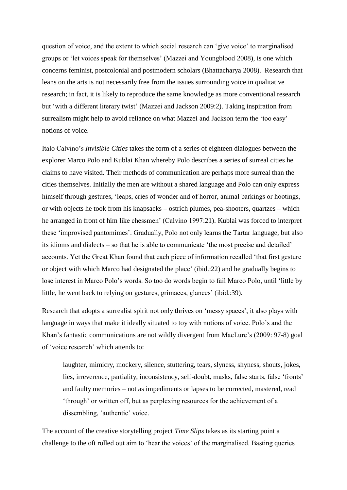question of voice, and the extent to which social research can 'give voice' to marginalised groups or 'let voices speak for themselves' (Mazzei and Youngblood 2008), is one which concerns feminist, postcolonial and postmodern scholars (Bhattacharya 2008). Research that leans on the arts is not necessarily free from the issues surrounding voice in qualitative research; in fact, it is likely to reproduce the same knowledge as more conventional research but 'with a different literary twist' (Mazzei and Jackson 2009:2). Taking inspiration from surrealism might help to avoid reliance on what Mazzei and Jackson term the 'too easy' notions of voice.

Italo Calvino's *Invisible Cities* takes the form of a series of eighteen dialogues between the explorer Marco Polo and Kublai Khan whereby Polo describes a series of surreal cities he claims to have visited. Their methods of communication are perhaps more surreal than the cities themselves. Initially the men are without a shared language and Polo can only express himself through gestures, 'leaps, cries of wonder and of horror, animal barkings or hootings, or with objects he took from his knapsacks – ostrich plumes, pea-shooters, quartzes – which he arranged in front of him like chessmen' (Calvino 1997:21). Kublai was forced to interpret these 'improvised pantomimes'. Gradually, Polo not only learns the Tartar language, but also its idioms and dialects – so that he is able to communicate 'the most precise and detailed' accounts. Yet the Great Khan found that each piece of information recalled 'that first gesture or object with which Marco had designated the place' (ibid.:22) and he gradually begins to lose interest in Marco Polo's words. So too do words begin to fail Marco Polo, until 'little by little, he went back to relying on gestures, grimaces, glances' (ibid.:39).

Research that adopts a surrealist spirit not only thrives on 'messy spaces', it also plays with language in ways that make it ideally situated to toy with notions of voice. Polo's and the Khan's fantastic communications are not wildly divergent from MacLure's (2009: 97-8) goal of 'voice research' which attends to:

laughter, mimicry, mockery, silence, stuttering, tears, slyness, shyness, shouts, jokes, lies, irreverence, partiality, inconsistency, self-doubt, masks, false starts, false 'fronts' and faulty memories – not as impediments or lapses to be corrected, mastered, read 'through' or written off, but as perplexing resources for the achievement of a dissembling, 'authentic' voice.

The account of the creative storytelling project *Time Slips* takes as its starting point a challenge to the oft rolled out aim to 'hear the voices' of the marginalised. Basting queries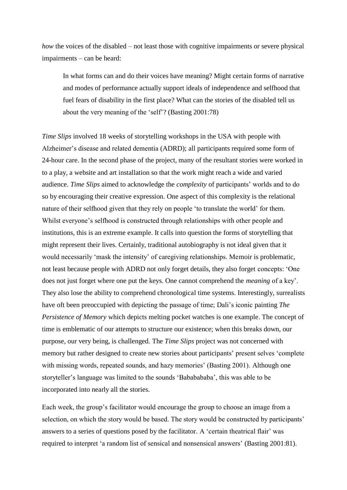*how* the voices of the disabled – not least those with cognitive impairments or severe physical impairments – can be heard:

In what forms can and do their voices have meaning? Might certain forms of narrative and modes of performance actually support ideals of independence and selfhood that fuel fears of disability in the first place? What can the stories of the disabled tell us about the very meaning of the 'self'? (Basting 2001:78)

*Time Slips* involved 18 weeks of storytelling workshops in the USA with people with Alzheimer's disease and related dementia (ADRD); all participants required some form of 24-hour care. In the second phase of the project, many of the resultant stories were worked in to a play, a website and art installation so that the work might reach a wide and varied audience. *Time Slips* aimed to acknowledge the *complexity* of participants' worlds and to do so by encouraging their creative expression. One aspect of this complexity is the relational nature of their selfhood given that they rely on people 'to translate the world' for them. Whilst everyone's selfhood is constructed through relationships with other people and institutions, this is an extreme example. It calls into question the forms of storytelling that might represent their lives. Certainly, traditional autobiography is not ideal given that it would necessarily 'mask the intensity' of caregiving relationships. Memoir is problematic, not least because people with ADRD not only forget details, they also forget concepts: 'One does not just forget where one put the keys. One cannot comprehend the *meaning* of a key'. They also lose the ability to comprehend chronological time systems. Interestingly, surrealists have oft been preoccupied with depicting the passage of time; Dali's iconic painting *The Persistence of Memory* which depicts melting pocket watches is one example. The concept of time is emblematic of our attempts to structure our existence; when this breaks down, our purpose, our very being, is challenged. The *Time Slips* project was not concerned with memory but rather designed to create new stories about participants' present selves 'complete with missing words, repeated sounds, and hazy memories' (Basting 2001). Although one storyteller's language was limited to the sounds 'Bababababa', this was able to be incorporated into nearly all the stories.

Each week, the group's facilitator would encourage the group to choose an image from a selection, on which the story would be based. The story would be constructed by participants' answers to a series of questions posed by the facilitator. A 'certain theatrical flair' was required to interpret 'a random list of sensical and nonsensical answers' (Basting 2001:81).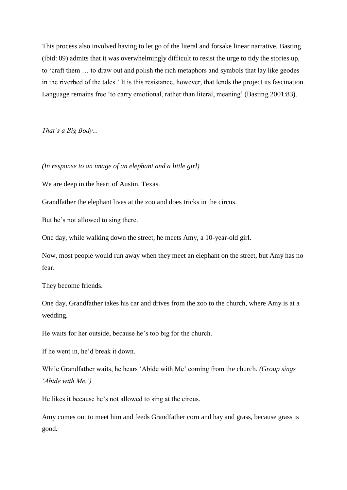This process also involved having to let go of the literal and forsake linear narrative. Basting (ibid: 89) admits that it was overwhelmingly difficult to resist the urge to tidy the stories up, to 'craft them … to draw out and polish the rich metaphors and symbols that lay like geodes in the riverbed of the tales.' It is this resistance, however, that lends the project its fascination. Language remains free 'to carry emotional, rather than literal, meaning' (Basting 2001:83).

*That's a Big Body...*

*(In response to an image of an elephant and a little girl)*

We are deep in the heart of Austin, Texas.

Grandfather the elephant lives at the zoo and does tricks in the circus.

But he's not allowed to sing there.

One day, while walking down the street, he meets Amy, a 10-year-old girl.

Now, most people would run away when they meet an elephant on the street, but Amy has no fear.

They become friends.

One day, Grandfather takes his car and drives from the zoo to the church, where Amy is at a wedding.

He waits for her outside, because he's too big for the church.

If he went in, he'd break it down.

While Grandfather waits, he hears 'Abide with Me' coming from the church. *(Group sings 'Abide with Me.')*

He likes it because he's not allowed to sing at the circus.

Amy comes out to meet him and feeds Grandfather corn and hay and grass, because grass is good.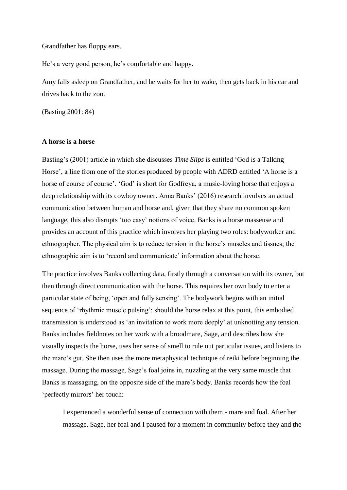Grandfather has floppy ears.

He's a very good person, he's comfortable and happy.

Amy falls asleep on Grandfather, and he waits for her to wake, then gets back in his car and drives back to the zoo.

(Basting 2001: 84)

#### **A horse is a horse**

Basting's (2001) article in which she discusses *Time Slips* is entitled 'God is a Talking Horse', a line from one of the stories produced by people with ADRD entitled 'A horse is a horse of course of course'. 'God' is short for Godfreya, a music-loving horse that enjoys a deep relationship with its cowboy owner. Anna Banks' (2016) research involves an actual communication between human and horse and, given that they share no common spoken language, this also disrupts 'too easy' notions of voice. Banks is a horse masseuse and provides an account of this practice which involves her playing two roles: bodyworker and ethnographer. The physical aim is to reduce tension in the horse's muscles and tissues; the ethnographic aim is to 'record and communicate' information about the horse.

The practice involves Banks collecting data, firstly through a conversation with its owner, but then through direct communication with the horse. This requires her own body to enter a particular state of being, 'open and fully sensing'. The bodywork begins with an initial sequence of 'rhythmic muscle pulsing'; should the horse relax at this point, this embodied transmission is understood as 'an invitation to work more deeply' at unknotting any tension. Banks includes fieldnotes on her work with a broodmare, Sage, and describes how she visually inspects the horse, uses her sense of smell to rule out particular issues, and listens to the mare's gut. She then uses the more metaphysical technique of reiki before beginning the massage. During the massage, Sage's foal joins in, nuzzling at the very same muscle that Banks is massaging, on the opposite side of the mare's body. Banks records how the foal 'perfectly mirrors' her touch:

I experienced a wonderful sense of connection with them - mare and foal. After her massage, Sage, her foal and I paused for a moment in community before they and the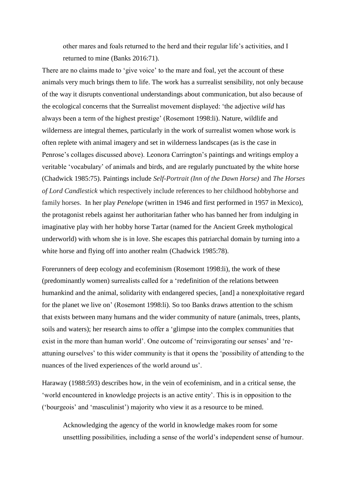other mares and foals returned to the herd and their regular life's activities, and I returned to mine (Banks 2016:71).

There are no claims made to 'give voice' to the mare and foal, yet the account of these animals very much brings them to life. The work has a surrealist sensibility, not only because of the way it disrupts conventional understandings about communication, but also because of the ecological concerns that the Surrealist movement displayed: 'the adjective *wild* has always been a term of the highest prestige' (Rosemont 1998:li). Nature, wildlife and wilderness are integral themes, particularly in the work of surrealist women whose work is often replete with animal imagery and set in wilderness landscapes (as is the case in Penrose's collages discussed above). Leonora Carrington's paintings and writings employ a veritable 'vocabulary' of animals and birds, and are regularly punctuated by the white horse (Chadwick 1985:75). Paintings include *Self-Portrait (Inn of the Dawn Horse)* and *The Horses of Lord Candlestick* which respectively include references to her childhood hobbyhorse and family horses. In her play *Penelope* (written in 1946 and first performed in 1957 in Mexico), the protagonist rebels against her authoritarian father who has banned her from indulging in imaginative play with her hobby horse Tartar (named for the Ancient Greek mythological underworld) with whom she is in love. She escapes this patriarchal domain by turning into a white horse and flying off into another realm (Chadwick 1985:78).

Forerunners of deep ecology and ecofeminism (Rosemont 1998:li), the work of these (predominantly women) surrealists called for a 'redefinition of the relations between humankind and the animal, solidarity with endangered species, [and] a nonexploitative regard for the planet we live on' (Rosemont 1998:li). So too Banks draws attention to the schism that exists between many humans and the wider community of nature (animals, trees, plants, soils and waters); her research aims to offer a 'glimpse into the complex communities that exist in the more than human world'. One outcome of 'reinvigorating our senses' and 'reattuning ourselves' to this wider community is that it opens the 'possibility of attending to the nuances of the lived experiences of the world around us'.

Haraway (1988:593) describes how, in the vein of ecofeminism, and in a critical sense, the 'world encountered in knowledge projects is an active entity'. This is in opposition to the ('bourgeois' and 'masculinist') majority who view it as a resource to be mined.

Acknowledging the agency of the world in knowledge makes room for some unsettling possibilities, including a sense of the world's independent sense of humour.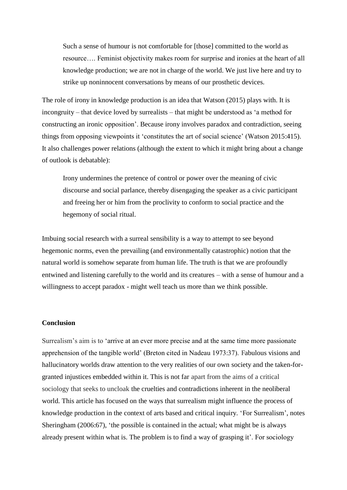Such a sense of humour is not comfortable for [those] committed to the world as resource…. Feminist objectivity makes room for surprise and ironies at the heart of all knowledge production; we are not in charge of the world. We just live here and try to strike up noninnocent conversations by means of our prosthetic devices.

The role of irony in knowledge production is an idea that Watson (2015) plays with. It is incongruity – that device loved by surrealists – that might be understood as 'a method for constructing an ironic opposition'. Because irony involves paradox and contradiction, seeing things from opposing viewpoints it 'constitutes the art of social science' (Watson 2015:415). It also challenges power relations (although the extent to which it might bring about a change of outlook is debatable):

Irony undermines the pretence of control or power over the meaning of civic discourse and social parlance, thereby disengaging the speaker as a civic participant and freeing her or him from the proclivity to conform to social practice and the hegemony of social ritual.

Imbuing social research with a surreal sensibility is a way to attempt to see beyond hegemonic norms, even the prevailing (and environmentally catastrophic) notion that the natural world is somehow separate from human life. The truth is that we are profoundly entwined and listening carefully to the world and its creatures – with a sense of humour and a willingness to accept paradox - might well teach us more than we think possible.

# **Conclusion**

Surrealism's aim is to 'arrive at an ever more precise and at the same time more passionate apprehension of the tangible world' (Breton cited in Nadeau 1973:37). Fabulous visions and hallucinatory worlds draw attention to the very realities of our own society and the taken-forgranted injustices embedded within it. This is not far apart from the aims of a critical sociology that seeks to uncloak the cruelties and contradictions inherent in the neoliberal world. This article has focused on the ways that surrealism might influence the process of knowledge production in the context of arts based and critical inquiry. 'For Surrealism', notes Sheringham (2006:67), 'the possible is contained in the actual; what might be is always already present within what is. The problem is to find a way of grasping it'. For sociology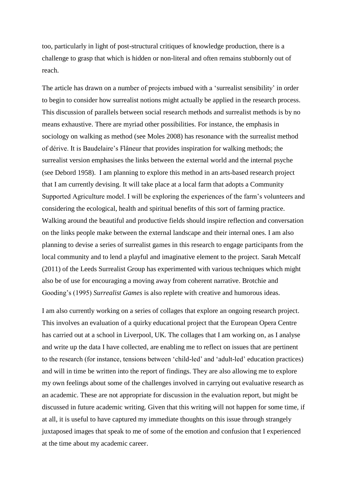too, particularly in light of post-structural critiques of knowledge production, there is a challenge to grasp that which is hidden or non-literal and often remains stubbornly out of reach.

The article has drawn on a number of projects imbued with a 'surrealist sensibility' in order to begin to consider how surrealist notions might actually be applied in the research process. This discussion of parallels between social research methods and surrealist methods is by no means exhaustive. There are myriad other possibilities. For instance, the emphasis in sociology on walking as method (see Moles 2008) has resonance with the surrealist method of dérive. It is Baudelaire's Flâneur that provides inspiration for walking methods; the surrealist version emphasises the links between the external world and the internal psyche (see Debord 1958). I am planning to explore this method in an arts-based research project that I am currently devising. It will take place at a local farm that adopts a Community Supported Agriculture model. I will be exploring the experiences of the farm's volunteers and considering the ecological, health and spiritual benefits of this sort of farming practice. Walking around the beautiful and productive fields should inspire reflection and conversation on the links people make between the external landscape and their internal ones. I am also planning to devise a series of surrealist games in this research to engage participants from the local community and to lend a playful and imaginative element to the project. Sarah Metcalf (2011) of the Leeds Surrealist Group has experimented with various techniques which might also be of use for encouraging a moving away from coherent narrative. Brotchie and Gooding's (1995) *Surrealist Games* is also replete with creative and humorous ideas.

I am also currently working on a series of collages that explore an ongoing research project. This involves an evaluation of a quirky educational project that the European Opera Centre has carried out at a school in Liverpool, UK. The collages that I am working on, as I analyse and write up the data I have collected, are enabling me to reflect on issues that are pertinent to the research (for instance, tensions between 'child-led' and 'adult-led' education practices) and will in time be written into the report of findings. They are also allowing me to explore my own feelings about some of the challenges involved in carrying out evaluative research as an academic. These are not appropriate for discussion in the evaluation report, but might be discussed in future academic writing. Given that this writing will not happen for some time, if at all, it is useful to have captured my immediate thoughts on this issue through strangely juxtaposed images that speak to me of some of the emotion and confusion that I experienced at the time about my academic career.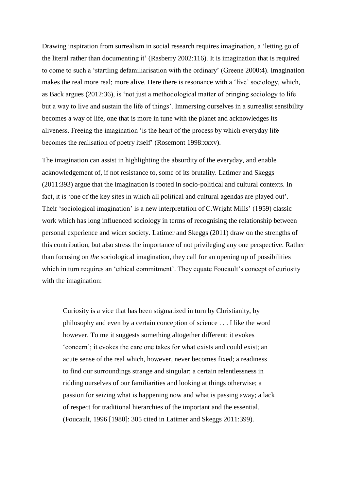Drawing inspiration from surrealism in social research requires imagination, a 'letting go of the literal rather than documenting it' (Rasberry 2002:116). It is imagination that is required to come to such a 'startling defamiliarisation with the ordinary' (Greene 2000:4). Imagination makes the real more real; more alive. Here there is resonance with a 'live' sociology, which, as Back argues (2012:36), is 'not just a methodological matter of bringing sociology to life but a way to live and sustain the life of things'. Immersing ourselves in a surrealist sensibility becomes a way of life, one that is more in tune with the planet and acknowledges its aliveness. Freeing the imagination 'is the heart of the process by which everyday life becomes the realisation of poetry itself' (Rosemont 1998:xxxv).

The imagination can assist in highlighting the absurdity of the everyday, and enable acknowledgement of, if not resistance to, some of its brutality. Latimer and Skeggs (2011:393) argue that the imagination is rooted in socio-political and cultural contexts. In fact, it is 'one of the key sites in which all political and cultural agendas are played out'. Their 'sociological imagination' is a new interpretation of C.Wright Mills' (1959) classic work which has long influenced sociology in terms of recognising the relationship between personal experience and wider society. Latimer and Skeggs (2011) draw on the strengths of this contribution, but also stress the importance of not privileging any one perspective. Rather than focusing on *the* sociological imagination, they call for an opening up of possibilities which in turn requires an 'ethical commitment'. They equate Foucault's concept of curiosity with the imagination:

Curiosity is a vice that has been stigmatized in turn by Christianity, by philosophy and even by a certain conception of science . . . I like the word however. To me it suggests something altogether different: it evokes 'concern'; it evokes the care one takes for what exists and could exist; an acute sense of the real which, however, never becomes fixed; a readiness to find our surroundings strange and singular; a certain relentlessness in ridding ourselves of our familiarities and looking at things otherwise; a passion for seizing what is happening now and what is passing away; a lack of respect for traditional hierarchies of the important and the essential. (Foucault, 1996 [1980]: 305 cited in Latimer and Skeggs 2011:399).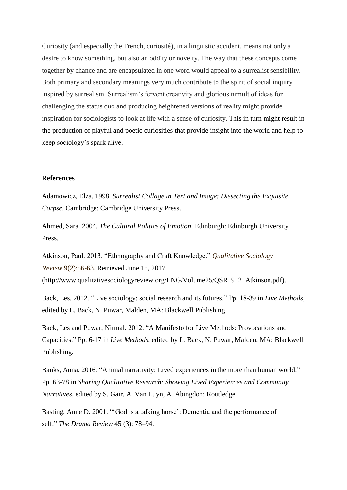Curiosity (and especially the French, curiosité), in a linguistic accident, means not only a desire to know something, but also an oddity or novelty. The way that these concepts come together by chance and are encapsulated in one word would appeal to a surrealist sensibility. Both primary and secondary meanings very much contribute to the spirit of social inquiry inspired by surrealism. Surrealism's fervent creativity and glorious tumult of ideas for challenging the status quo and producing heightened versions of reality might provide inspiration for sociologists to look at life with a sense of curiosity. This in turn might result in the production of playful and poetic curiosities that provide insight into the world and help to keep sociology's spark alive.

### **References**

Adamowicz, Elza. 1998. *Surrealist Collage in Text and Image: Dissecting the Exquisite Corpse*. Cambridge: Cambridge University Press.

Ahmed, Sara. 2004. *The Cultural Politics of Emotion*. Edinburgh: Edinburgh University Press.

Atkinson, Paul. 2013. "Ethnography and Craft Knowledge." *Qualitative Sociology Review* 9(2):56-63. Retrieved June 15, 2017 (http://www.qualitativesociologyreview.org/ENG/Volume25/QSR\_9\_2\_Atkinson.pdf).

Back, Les. 2012. "Live sociology: social research and its futures." Pp. 18-39 in *Live Methods*, edited by L. Back, N. Puwar, Malden, MA: Blackwell Publishing.

Back, Les and Puwar, Nirmal. 2012. "A Manifesto for Live Methods: Provocations and Capacities." Pp. 6-17 in *Live Methods*, edited by L. Back, N. Puwar, Malden, MA: Blackwell Publishing.

Banks, Anna. 2016. "Animal narrativity: Lived experiences in the more than human world." Pp. 63-78 in *Sharing Qualitative Research: Showing Lived Experiences and Community Narratives*, edited by S. Gair, A. Van Luyn, A. Abingdon: Routledge.

Basting, Anne D. 2001. "'God is a talking horse': Dementia and the performance of self." *The Drama Review* 45 (3): 78–94.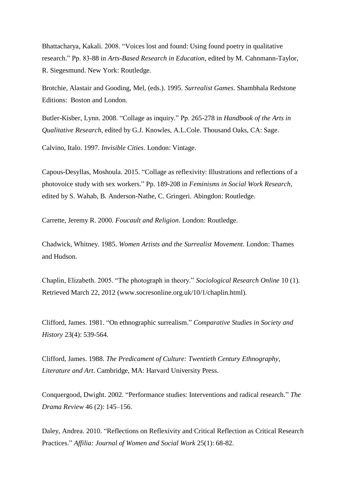Bhattacharya, Kakali. 2008. "Voices lost and found: Using found poetry in qualitative research." Pp. 83-88 in *Arts-Based Research in Education*, edited by M. Cahnmann-Taylor, R. Siegesmund. New York: Routledge.

Brotchie, Alastair and Gooding, Mel, (eds.). 1995. *Surrealist Games*. Shambhala Redstone Editions: Boston and London.

Butler-Kisber, Lynn. 2008. "Collage as inquiry." Pp. 265-278 in *Handbook of the Arts in Qualitative Research*, edited by G.J. Knowles, A.L.Cole. Thousand Oaks, CA: Sage.

Calvino, Italo. 1997. *Invisible Cities*. London: Vintage.

Capous-Desyllas, Moshoula. 2015. "Collage as reflexivity: Illustrations and reflections of a photovoice study with sex workers." Pp. 189-208 in *Feminisms in Social Work Research,*  edited by S. Wahab, B. Anderson-Nathe, C. Gringeri. Abingdon: Routledge.

Carrette, Jeremy R. 2000. *Foucault and Religion*. London: Routledge.

Chadwick, Whitney. 1985. *Women Artists and the Surrealist Movement*. London: Thames and Hudson.

Chaplin, Elizabeth. 2005. "The photograph in theory." *Sociological Research Online* 10 (1). Retrieved March 22, 2012 [\(www.socresonline.org.uk/10/1/chaplin.html\)](http://www.socresonline.org.uk/10/1/chaplin.html).

Clifford, James. 1981. "On ethnographic surrealism." *Comparative Studies in Society and History* 23(4): 539-564.

Clifford, James. 1988. *The Predicament of Culture: Twentieth Century Ethnography, Literature and Art*. Cambridge, MA: Harvard University Press.

Conquergood, Dwight. 2002. "Performance studies: Interventions and radical research." *The Drama Review* 46 (2): 145–156.

Daley, Andrea. 2010. "Reflections on Reflexivity and Critical Reflection as Critical Research Practices." *Affilia: Journal of Women and Social Work* 25(1): 68-82.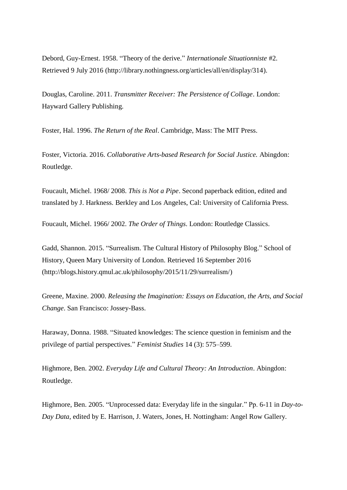Debord, Guy-Ernest. 1958. "Theory of the derive." *Internationale Situationniste* #2. Retrieved 9 July 2016 [\(http://library.nothingness.org/articles/all/en/display/314\)](http://library.nothingness.org/articles/all/en/display/314).

Douglas, Caroline. 2011. *Transmitter Receiver: The Persistence of Collage*. London: Hayward Gallery Publishing.

Foster, Hal. 1996. *The Return of the Real*. Cambridge, Mass: The MIT Press.

Foster, Victoria. 2016. *Collaborative Arts-based Research for Social Justice.* Abingdon: Routledge.

Foucault, Michel. 1968/ 2008. *This is Not a Pipe*. Second paperback edition, edited and translated by J. Harkness. Berkley and Los Angeles, Cal: University of California Press.

Foucault, Michel. 1966/ 2002. *The Order of Things*. London: Routledge Classics.

Gadd, Shannon. 2015. "Surrealism. The Cultural History of Philosophy Blog." School of History, Queen Mary University of London. Retrieved 16 September 2016 [\(http://blogs.history.qmul.ac.uk/philosophy/2015/11/29/surrealism/\)](http://blogs.history.qmul.ac.uk/philosophy/2015/11/29/surrealism/)

Greene, Maxine. 2000. *Releasing the Imagination: Essays on Education, the Arts, and Social Change*. San Francisco: Jossey-Bass.

Haraway, Donna. 1988. "Situated knowledges: The science question in feminism and the privilege of partial perspectives." *Feminist Studies* 14 (3): 575–599.

Highmore, Ben. 2002. *Everyday Life and Cultural Theory: An Introduction*. Abingdon: Routledge.

Highmore, Ben. 2005. "Unprocessed data: Everyday life in the singular." Pp. 6-11 in *Day-to-Day Data*, edited by E. Harrison, J. Waters, Jones, H. Nottingham: Angel Row Gallery.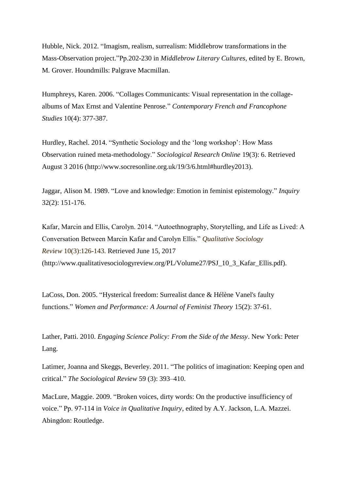Hubble, Nick. 2012. "Imagism, realism, surrealism: Middlebrow transformations in the Mass-Observation project."Pp.202-230 in *Middlebrow Literary Cultures*, edited by E. Brown, M. Grover. Houndmills: Palgrave Macmillan.

Humphreys, Karen. 2006. "Collages Communicants: Visual representation in the collagealbums of Max Ernst and Valentine Penrose." *Contemporary French and Francophone Studies* 10(4): 377-387.

Hurdley, Rachel. 2014. "Synthetic Sociology and the 'long workshop': How Mass Observation ruined meta-methodology." *Sociological Research Online* 19(3): 6. Retrieved August 3 2016 [\(http://www.socresonline.org.uk/19/3/6.html#hurdley2013\)](http://www.socresonline.org.uk/19/3/6.html#hurdley2013).

Jaggar, Alison M. 1989. "Love and knowledge: Emotion in feminist epistemology." *Inquiry* 32(2): 151-176.

Kafar, Marcin and Ellis, Carolyn. 2014. "Autoethnography, Storytelling, and Life as Lived: A Conversation Between Marcin Kafar and Carolyn Ellis." *Qualitative Sociology Review* 10(3):126-143. Retrieved June 15, 2017 (http://www.qualitativesociologyreview.org/PL/Volume27/PSJ\_10\_3\_Kafar\_Ellis.pdf).

LaCoss, Don. 2005. "Hysterical freedom: Surrealist dance & Hélène Vanel's faulty functions." *Women and Performance: A Journal of Feminist Theory* 15(2): 37-61.

Lather, Patti. 2010. *Engaging Science Policy: From the Side of the Messy*. New York: Peter Lang.

Latimer, Joanna and Skeggs, Beverley. 2011. "The politics of imagination: Keeping open and critical." *The Sociological Review* 59 (3): 393–410.

MacLure, Maggie. 2009. "Broken voices, dirty words: On the productive insufficiency of voice." Pp. 97-114 in *Voice in Qualitative Inquiry*, edited by A.Y. Jackson, L.A. Mazzei. Abingdon: Routledge.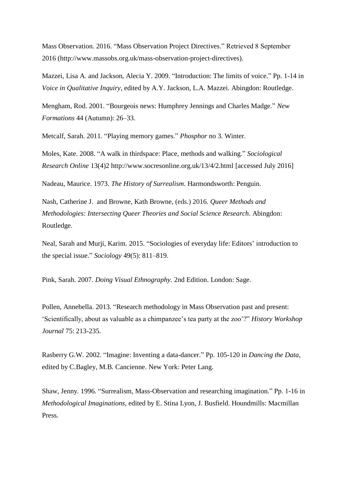Mass Observation. 2016. "Mass Observation Project Directives." Retrieved 8 September 2016 [\(http://www.massobs.org.uk/mass-observation-project-directives\)](http://www.massobs.org.uk/mass-observation-project-directives).

Mazzei, Lisa A. and Jackson, Alecia Y. 2009. "Introduction: The limits of voice." Pp. 1-14 in *Voice in Qualitative Inquiry*, edited by A.Y. Jackson, L.A. Mazzei. Abingdon: Routledge.

Mengham, Rod. 2001. "Bourgeois news: Humphrey Jennings and Charles Madge." *New Formations* 44 (Autumn): 26–33.

Metcalf, Sarah. 2011. "Playing memory games." *Phosphor* no 3. Winter.

Moles, Kate. 2008. "A walk in thirdspace: Place, methods and walking." *Sociological Research Online* 13(4)2 <http://www.socresonline.org.uk/13/4/2.html> [accessed July 2016]

Nadeau, Maurice. 1973. *The History of Surrealism*. Harmondsworth: Penguin.

Nash, [Catherine J.](https://www.amazon.co.uk/s/ref=dp_byline_sr_book_1?ie=UTF8&text=Catherine+J.+Nash&search-alias=books&field-author=Catherine+J.+Nash&sort=relevancerank) and Browne, [Kath Browne,](https://www.amazon.co.uk/s/ref=dp_byline_sr_book_2?ie=UTF8&text=Kath+Browne&search-alias=books&field-author=Kath+Browne&sort=relevancerank) (eds.) 2016. *Queer Methods and Methodologies: Intersecting Queer Theories and Social Science Research*. Abingdon: Routledge.

Neal, Sarah and Murji, Karim. 2015. "Sociologies of everyday life: Editors' introduction to the special issue." *Sociology* 49(5): 811–819.

Pink, Sarah. 2007. *Doing Visual Ethnography.* 2nd Edition. London: Sage.

Pollen, Annebella. 2013. "Research methodology in Mass Observation past and present: 'Scientifically, about as valuable as a chimpanzee's tea party at the zoo'?" *History Workshop Journal* 75: 213-235.

Rasberry G.W. 2002. "Imagine: Inventing a data-dancer." Pp. 105-120 in *Dancing the Data*, edited by C.Bagley, M.B. Cancienne. New York: Peter Lang.

Shaw, Jenny. 1996. "Surrealism, Mass-Observation and researching imagination." Pp. 1-16 in *Methodological Imaginations*, edited by E. Stina Lyon, J. Busfield. Houndmills: Macmillan Press.